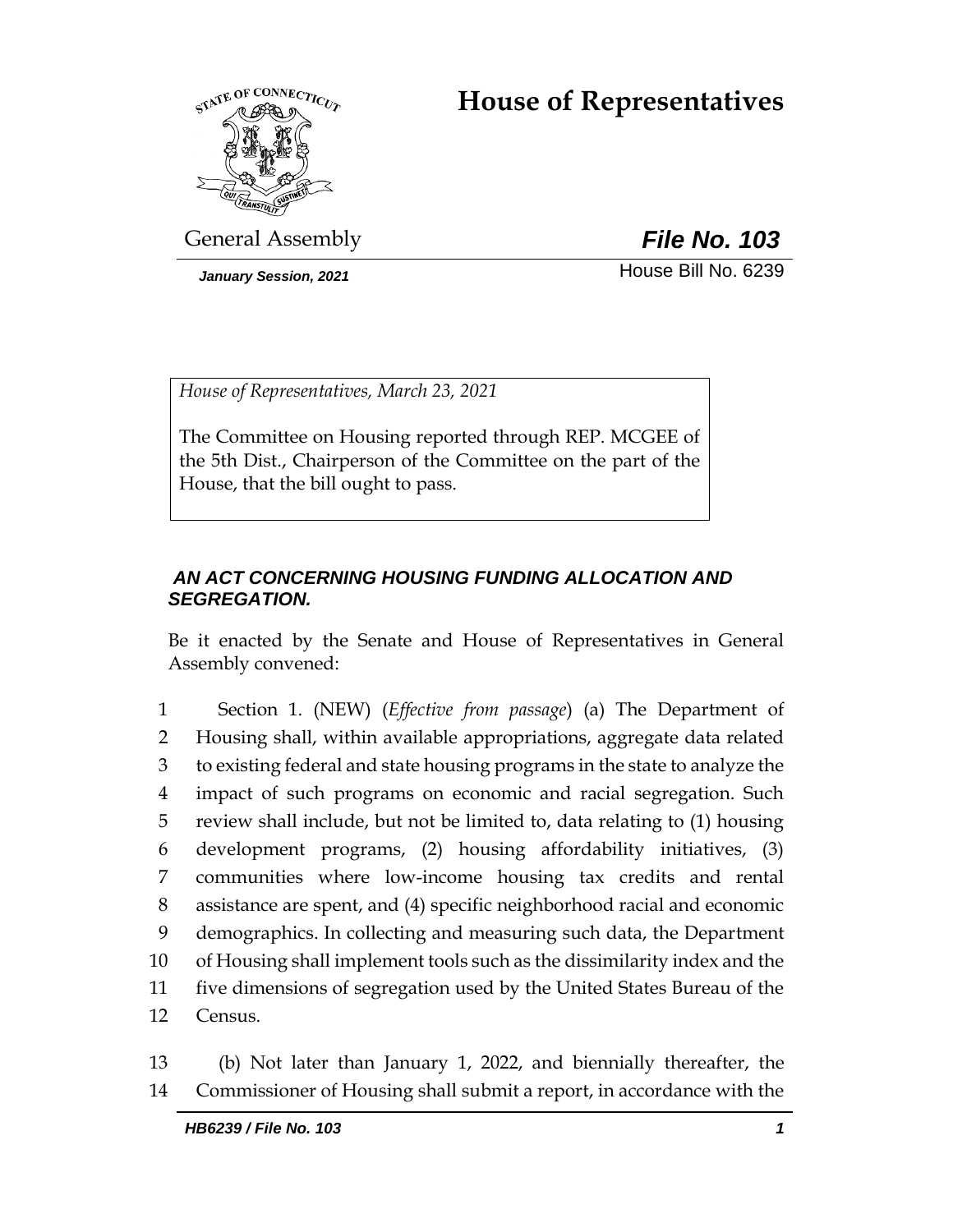# **House of Representatives**



General Assembly *File No. 103*

*January Session, 2021* **House Bill No. 6239** 

*House of Representatives, March 23, 2021*

The Committee on Housing reported through REP. MCGEE of the 5th Dist., Chairperson of the Committee on the part of the House, that the bill ought to pass.

## *AN ACT CONCERNING HOUSING FUNDING ALLOCATION AND SEGREGATION.*

Be it enacted by the Senate and House of Representatives in General Assembly convened:

 Section 1. (NEW) (*Effective from passage*) (a) The Department of Housing shall, within available appropriations, aggregate data related to existing federal and state housing programs in the state to analyze the impact of such programs on economic and racial segregation. Such review shall include, but not be limited to, data relating to (1) housing development programs, (2) housing affordability initiatives, (3) communities where low-income housing tax credits and rental assistance are spent, and (4) specific neighborhood racial and economic demographics. In collecting and measuring such data, the Department of Housing shall implement tools such as the dissimilarity index and the five dimensions of segregation used by the United States Bureau of the 12 Census.

13 (b) Not later than January 1, 2022, and biennially thereafter, the 14 Commissioner of Housing shall submit a report, in accordance with the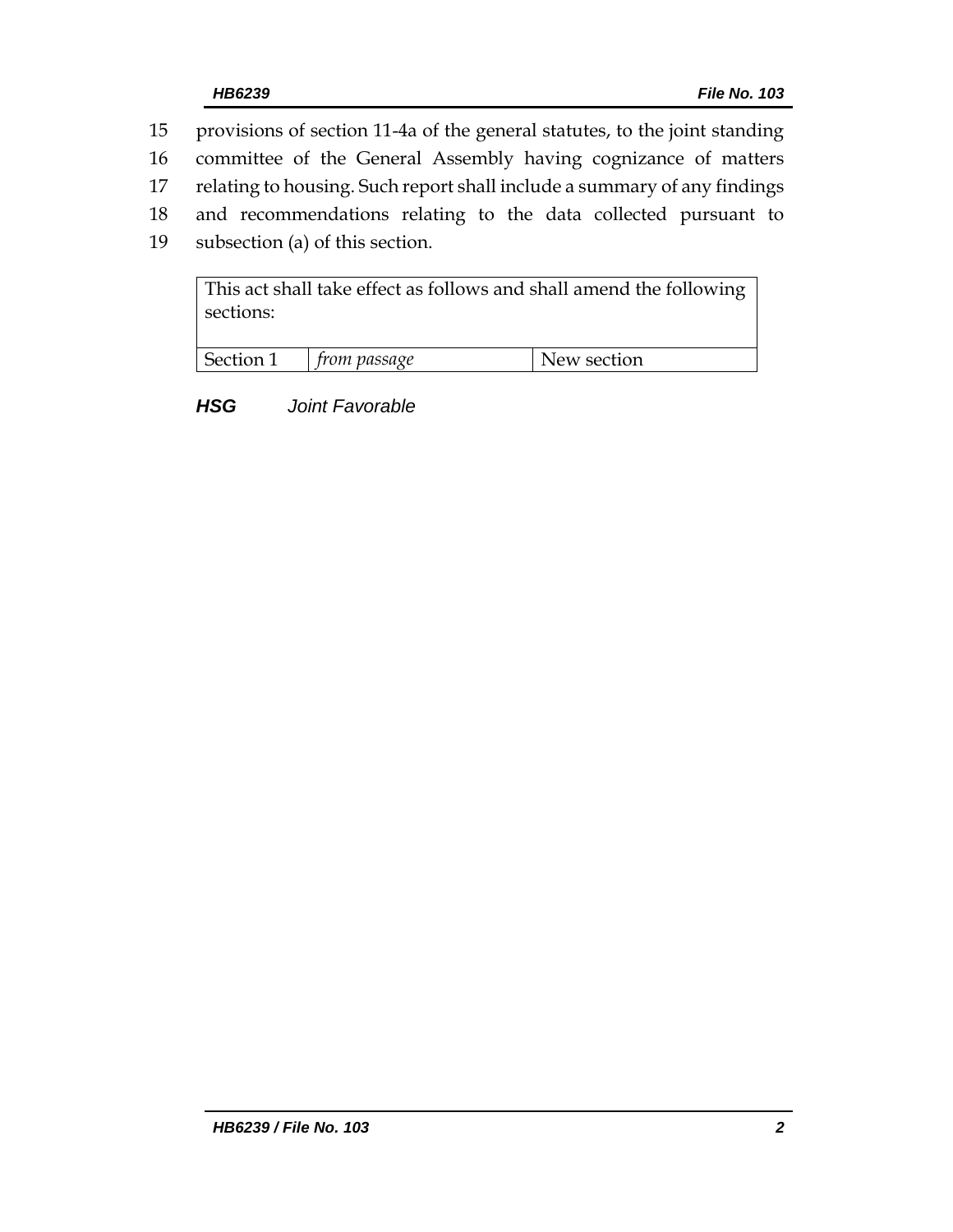- 15 provisions of section 11-4a of the general statutes, to the joint standing
- 16 committee of the General Assembly having cognizance of matters
- 17 relating to housing. Such report shall include a summary of any findings
- 18 and recommendations relating to the data collected pursuant to
- 19 subsection (a) of this section.

This act shall take effect as follows and shall amend the following sections:

| Section | om passage | n<br>w section<br>∖ew∍ |
|---------|------------|------------------------|

*HSG Joint Favorable*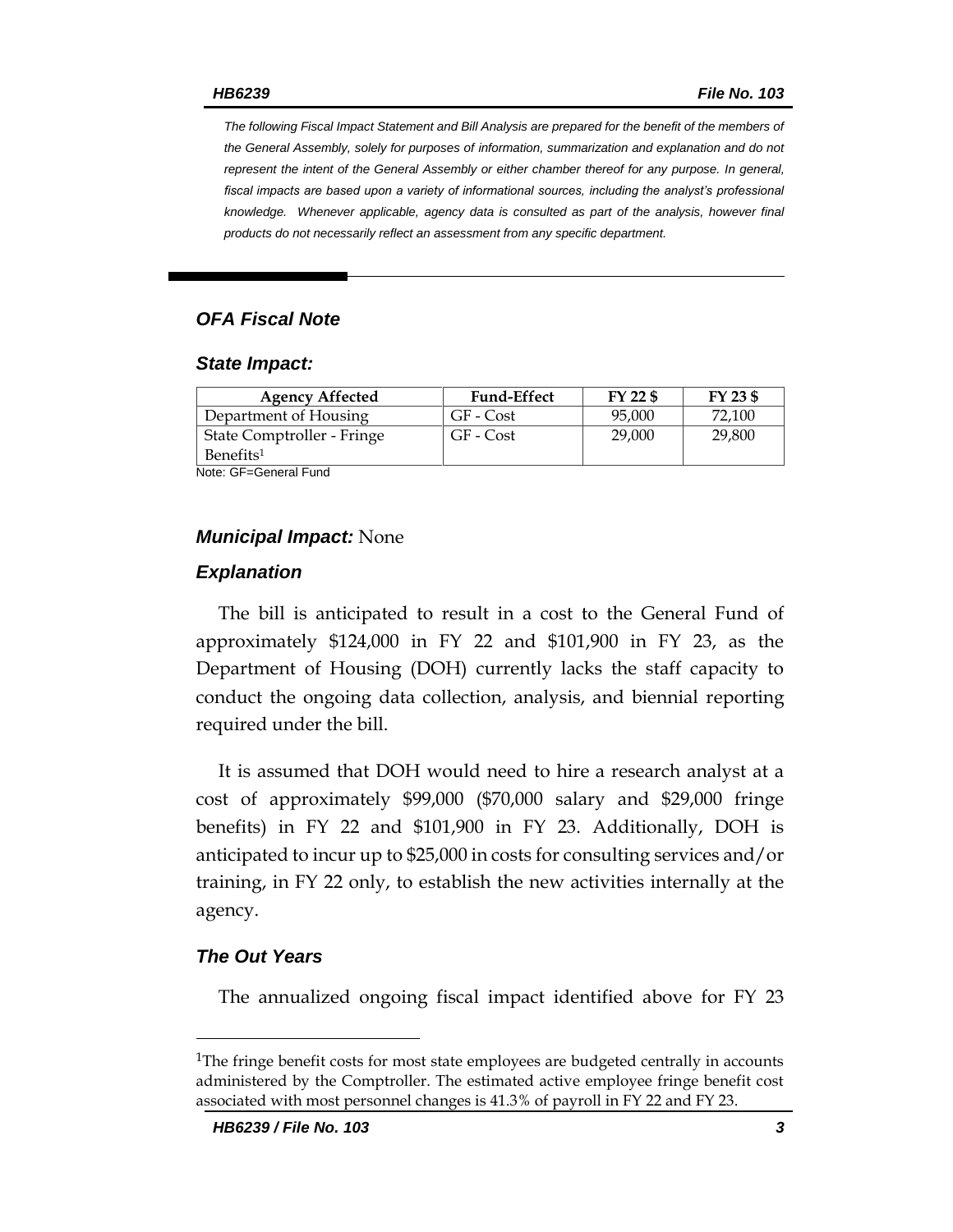*The following Fiscal Impact Statement and Bill Analysis are prepared for the benefit of the members of the General Assembly, solely for purposes of information, summarization and explanation and do not represent the intent of the General Assembly or either chamber thereof for any purpose. In general, fiscal impacts are based upon a variety of informational sources, including the analyst's professional knowledge. Whenever applicable, agency data is consulted as part of the analysis, however final products do not necessarily reflect an assessment from any specific department.*

### *OFA Fiscal Note*

#### *State Impact:*

| <b>Agency Affected</b>     | <b>Fund-Effect</b> | FY 22 \$ | FY 23 \$ |
|----------------------------|--------------------|----------|----------|
| Department of Housing      | GF - Cost          | 95,000   | 72.100   |
| State Comptroller - Fringe | GF - Cost          | 29,000   | 29,800   |
| Benefits <sup>1</sup>      |                    |          |          |

Note: GF=General Fund

#### *Municipal Impact:* None

#### *Explanation*

The bill is anticipated to result in a cost to the General Fund of approximately \$124,000 in FY 22 and \$101,900 in FY 23, as the Department of Housing (DOH) currently lacks the staff capacity to conduct the ongoing data collection, analysis, and biennial reporting required under the bill.

It is assumed that DOH would need to hire a research analyst at a cost of approximately \$99,000 (\$70,000 salary and \$29,000 fringe benefits) in FY 22 and \$101,900 in FY 23. Additionally, DOH is anticipated to incur up to \$25,000 in costs for consulting services and/or training, in FY 22 only, to establish the new activities internally at the agency.

#### *The Out Years*

 $\overline{a}$ 

The annualized ongoing fiscal impact identified above for FY 23

<sup>&</sup>lt;sup>1</sup>The fringe benefit costs for most state employees are budgeted centrally in accounts administered by the Comptroller. The estimated active employee fringe benefit cost associated with most personnel changes is 41.3% of payroll in FY 22 and FY 23.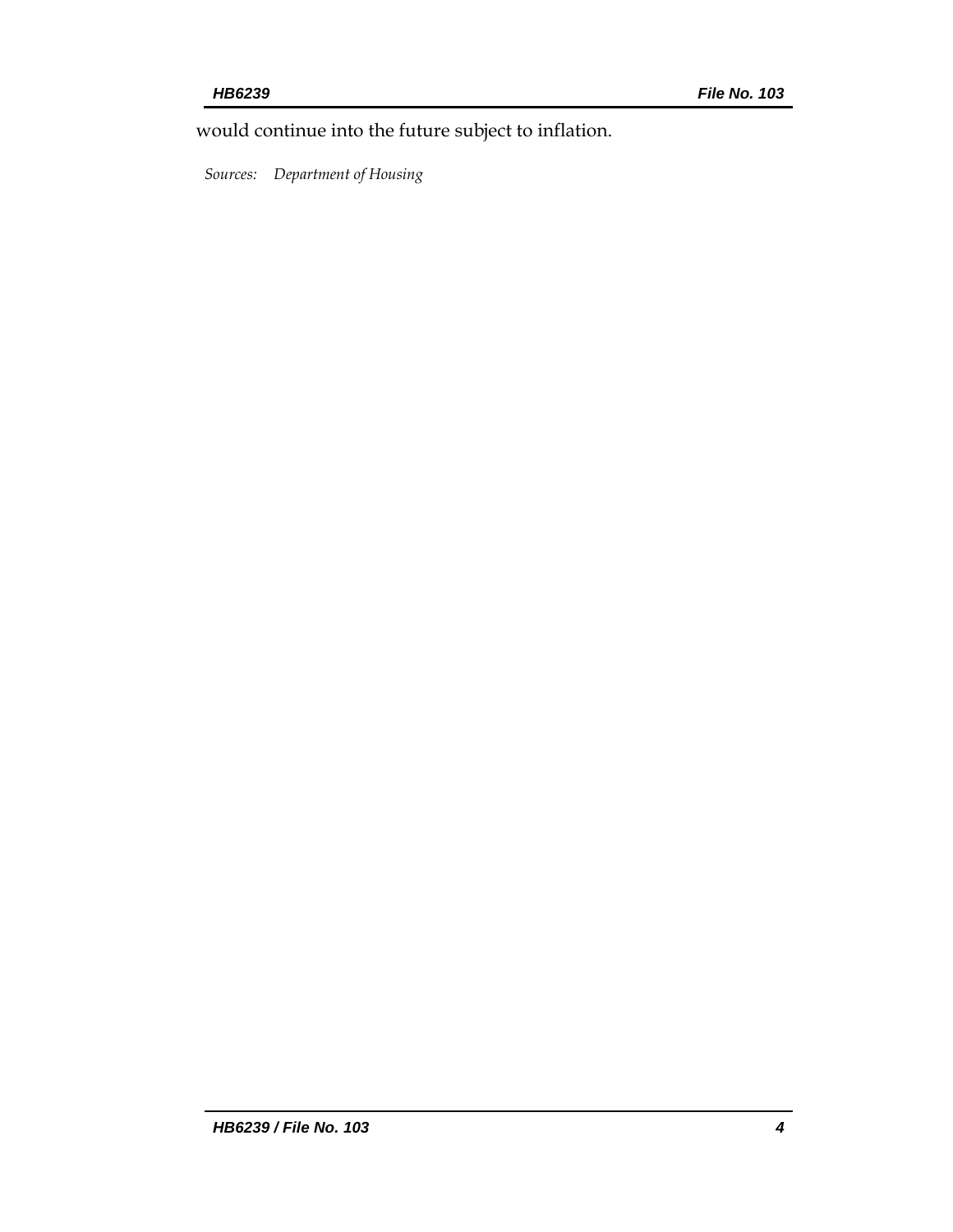would continue into the future subject to inflation.

*Sources: Department of Housing*